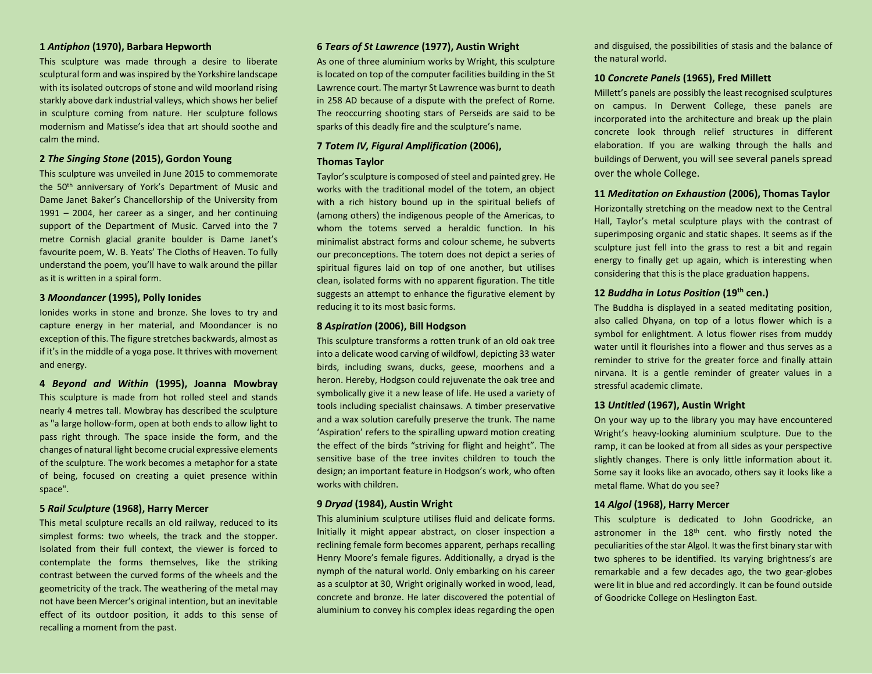# **1** *Antiphon* **(1970), Barbara Hepworth**

This sculpture was made through a desire to liberate sculptural form and was inspired by the Yorkshire landscape with its isolated outcrops of stone and wild moorland rising starkly above dark industrial valleys, which shows her belief in sculpture coming from nature. Her sculpture follows modernism and Matisse's idea that art should soothe and calm the mind.

# **2** *The Singing Stone* **(2015), Gordon Young**

This sculpture was unveiled in June 2015 to commemorate the 50<sup>th</sup> anniversary of York's Department of Music and Dame Janet Baker's Chancellorship of the University from 1991 – 2004, her career as a singer, and her continuing support of the Department of Music. Carved into the 7 metre Cornish glacial granite boulder is Dame Janet's favourite poem, W. B. Yeats' The Cloths of Heaven. To fully understand the poem, you'll have to walk around the pillar as it is written in a spiral form.

## **3** *Moondancer* **(1995), Polly Ionides**

Ionides works in stone and bronze. She loves to try and capture energy in her material, and Moondancer is no exception of this. The figure stretches backwards, almost as if it's in the middle of a yoga pose. It thrives with movement and energy.

**4** *Beyond and Within* **(1995), Joanna Mowbray** This sculpture is made from hot rolled steel and stands nearly 4 metres tall. Mowbray has described the sculpture as "a large hollow-form, open at both ends to allow light to pass right through. The space inside the form, and the changes of natural light become crucial expressive elements of the sculpture. The work becomes a metaphor for a state of being, focused on creating a quiet presence within space".

### **5** *Rail Sculpture* **(1968), Harry Mercer**

This metal sculpture recalls an old railway, reduced to its simplest forms: two wheels, the track and the stopper. Isolated from their full context, the viewer is forced to contemplate the forms themselves, like the striking contrast between the curved forms of the wheels and the geometricity of the track. The weathering of the metal may not have been Mercer's original intention, but an inevitable effect of its outdoor position, it adds to this sense of recalling a moment from the past.

# **6** *Tears of St Lawrence* **(1977), Austin Wright**

As one of three aluminium works by Wright, this sculpture is located on top of the computer facilities building in the St Lawrence court. The martyr St Lawrence was burnt to death in 258 AD because of a dispute with the prefect of Rome. The reoccurring shooting stars of Perseids are said to be sparks of this deadly fire and the sculpture's name.

# **7** *Totem IV, Figural Amplification* **(2006), Thomas Taylor**

Taylor's sculpture is composed of steel and painted grey. He works with the traditional model of the totem, an object with a rich history bound up in the spiritual beliefs of (among others) the indigenous people of the Americas, to whom the totems served a heraldic function. In his minimalist abstract forms and colour scheme, he subverts our preconceptions. The totem does not depict a series of spiritual figures laid on top of one another, but utilises clean, isolated forms with no apparent figuration. The title suggests an attempt to enhance the figurative element by reducing it to its most basic forms.

### **8** *Aspiration* **(2006), Bill Hodgson**

This sculpture transforms a rotten trunk of an old oak tree into a delicate wood carving of wildfowl, depicting 33 water birds, including swans, ducks, geese, moorhens and a heron. Hereby, Hodgson could rejuvenate the oak tree and symbolically give it a new lease of life. He used a variety of tools including specialist chainsaws. A timber preservative and a wax solution carefully preserve the trunk. The name 'Aspiration' refers to the spiralling upward motion creating the effect of the birds "striving for flight and height". The sensitive base of the tree invites children to touch the design; an important feature in Hodgson's work, who often works with children.

# **9** *Dryad* **(1984), Austin Wright**

This aluminium sculpture utilises fluid and delicate forms. Initially it might appear abstract, on closer inspection a reclining female form becomes apparent, perhaps recalling Henry Moore's female figures. Additionally, a dryad is the nymph of the natural world. Only embarking on his career as a sculptor at 30, Wright originally worked in wood, lead, concrete and bronze. He later discovered the potential of aluminium to convey his complex ideas regarding the open

and disguised, the possibilities of stasis and the balance of the natural world.

### **10** *Concrete Panels* **(1965), Fred Millett**

Millett's panels are possibly the least recognised sculptures on campus. In Derwent College, these panels are incorporated into the architecture and break up the plain concrete look through relief structures in different elaboration. If you are walking through the halls and buildings of Derwent, you will see several panels spread over the whole College.

### **11** *Meditation on Exhaustion* **(2006), Thomas Taylor**

Horizontally stretching on the meadow next to the Central Hall, Taylor's metal sculpture plays with the contrast of superimposing organic and static shapes. It seems as if the sculpture just fell into the grass to rest a bit and regain energy to finally get up again, which is interesting when considering that this is the place graduation happens.

# **12** *Buddha in Lotus Position* **(19th cen.)**

The Buddha is displayed in a seated meditating position, also called Dhyana, on top of a lotus flower which is a symbol for enlightment. A lotus flower rises from muddy water until it flourishes into a flower and thus serves as a reminder to strive for the greater force and finally attain nirvana. It is a gentle reminder of greater values in a stressful academic climate.

### **13** *Untitled* **(1967), Austin Wright**

On your way up to the library you may have encountered Wright's heavy-looking aluminium sculpture. Due to the ramp, it can be looked at from all sides as your perspective slightly changes. There is only little information about it. Some say it looks like an avocado, others say it looks like a metal flame. What do you see?

### **14** *Algol* **(1968), Harry Mercer**

This sculpture is dedicated to John Goodricke, an astronomer in the 18<sup>th</sup> cent. who firstly noted the peculiarities of the star Algol. It was the first binary star with two spheres to be identified. Its varying brightness's are remarkable and a few decades ago, the two gear-globes were lit in blue and red accordingly. It can be found outside of Goodricke College on Heslington East.